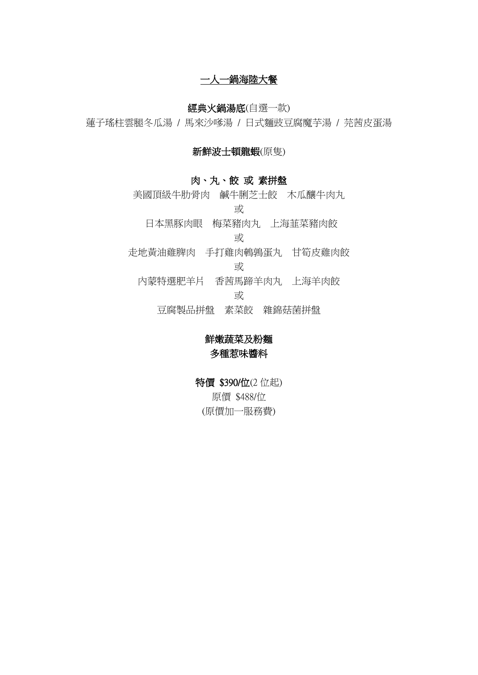一人一鍋海陸大餐

# 經典火鍋湯底(自選一款)

蓮子瑤柱雲腿冬瓜湯 / 馬來沙嗲湯 / 日式麵豉豆腐魔芋湯 / 芫茜皮蛋湯

### 新鮮波士頓龍蝦(原隻)

## 肉、丸、餃 或 素拼盤

美國頂級牛肋骨肉 鹹牛脷芝士餃 木瓜釀牛肉丸 或 日本黑豚肉眼 梅菜豬肉丸 上海韮菜豬肉餃 或 走地黃油雞脾肉 手打雞肉鵪鶉蛋丸 甘筍皮雞肉餃 或

內蒙特選肥羊片 香茜馬蹄羊肉丸 上海羊肉餃

或

豆腐製品拼盤 素菜餃 雜錦菇菌拼盤

# 鮮嫩蔬菜及粉麵 多種惹味醬料

特價 \$390/位(2位起) 原價 \$488/位 (原價加一服務費)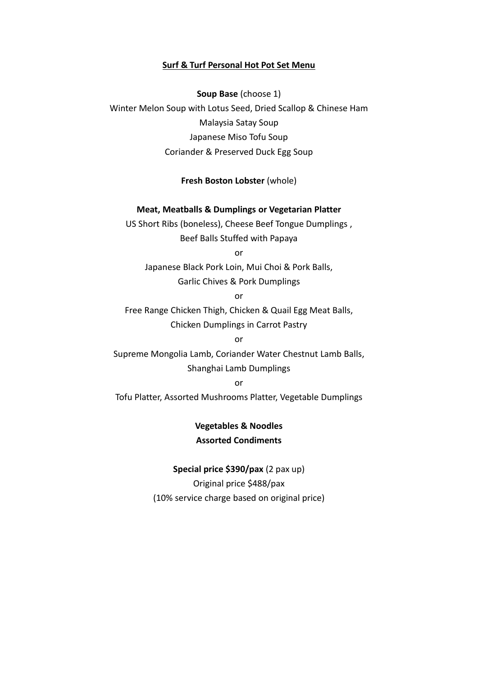#### **Surf & Turf Personal Hot Pot Set Menu**

**Soup Base** (choose 1) Winter Melon Soup with Lotus Seed, Dried Scallop & Chinese Ham Malaysia Satay Soup Japanese Miso Tofu Soup Coriander & Preserved Duck Egg Soup

#### **Fresh Boston Lobster** (whole)

#### **Meat, Meatballs & Dumplings or Vegetarian Platter**

US Short Ribs (boneless), Cheese Beef Tongue Dumplings , Beef Balls Stuffed with Papaya

or

Japanese Black Pork Loin, Mui Choi & Pork Balls,

Garlic Chives & Pork Dumplings

or

Free Range Chicken Thigh, Chicken & Quail Egg Meat Balls, Chicken Dumplings in Carrot Pastry

or Supreme Mongolia Lamb, Coriander Water Chestnut Lamb Balls, Shanghai Lamb Dumplings

or

Tofu Platter, Assorted Mushrooms Platter, Vegetable Dumplings

**Vegetables & Noodles Assorted Condiments**

**Special price \$390/pax** (2 pax up) Original price \$488/pax (10% service charge based on original price)